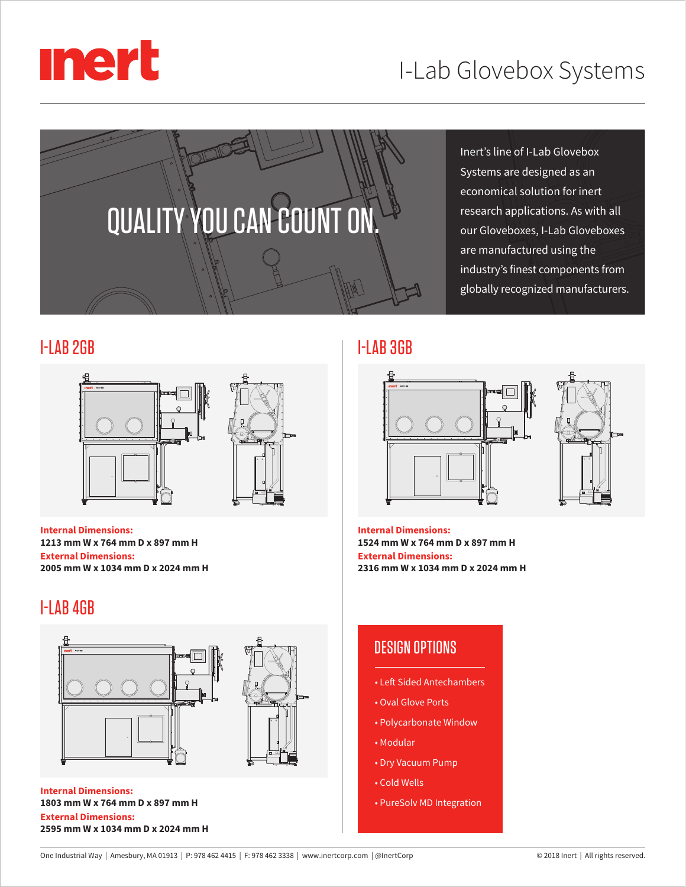



Inert's line of I-Lab Glovebox Systems are designed as an economical solution for inert research applications. As with all our Gloveboxes, I-Lab Gloveboxes are manufactured using the industry's finest components from globally recognized manufacturers.

### I-LAB 2GB I-LAB 3GB



**Internal Dimensions: 1213 mm W x 764 mm D x 897 mm H External Dimensions: 2005 mm W x 1034 mm D x 2024 mm H**

# I-LAB 4GB









**Internal Dimensions: 1524 mm W x 764 mm D x 897 mm H External Dimensions: 2316 mm W x 1034 mm D x 2024 mm H**

## DESIGN OPTIONS

- Left Sided Antechambers
- Oval Glove Ports
- Polycarbonate Window
- Modular
- Dry Vacuum Pump
- Cold Wells
- PureSolv MD Integration